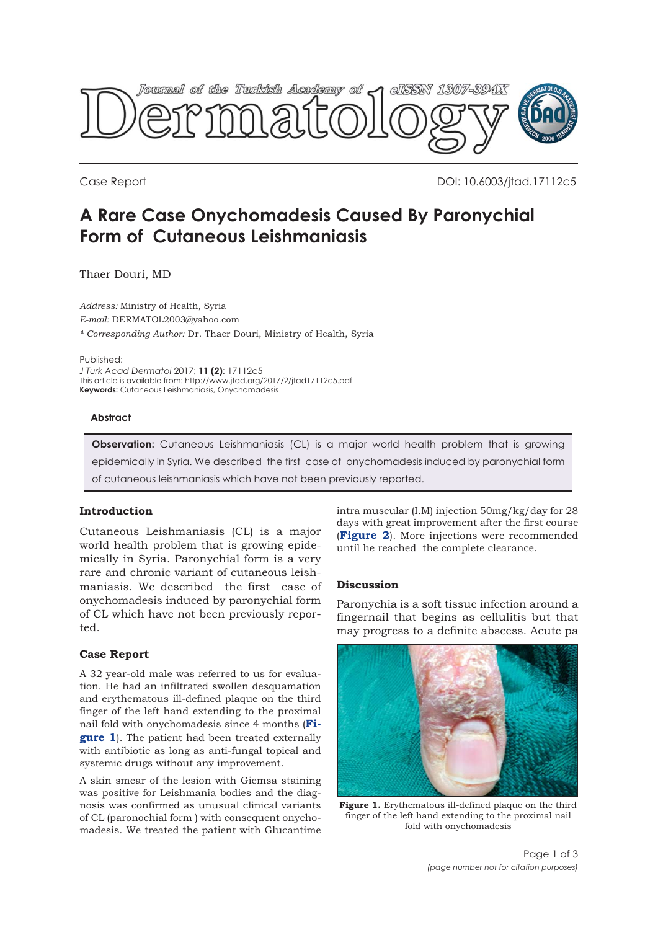

Case Report DOI: 10.6003/jtad.17112c5

# **A Rare Case Onychomadesis Caused By Paronychial Form of Cutaneous Leishmaniasis**

Thaer Douri, MD

*Address:* Ministry of Health, Syria *E-mail:* DERMATOL2003@yahoo.com *\* Corresponding Author:* Dr. Thaer Douri, Ministry of Health, Syria

Published:

*J Turk Acad Dermatol* 2017; **11 (2)**: 17112c5 This article is available from: http://www.jtad.org/2017/2/jtad17112c5.pdf **Keywords:** Cutaneous Leishmaniasis, Onychomadesis

#### **Abstract**

**Observation:** Cutaneous Leishmaniasis (CL) is a major world health problem that is growing epidemically in Syria. We described the first case of onychomadesis induced by paronychial form of cutaneous leishmaniasis which have not been previously reported.

## **Introduction**

Cutaneous Leishmaniasis (CL) is a major world health problem that is growing epidemically in Syria. Paronychial form is a very rare and chronic variant of cutaneous leishmaniasis. We described the first case of onychomadesis induced by paronychial form of CL which have not been previously reported.

## **Case Report**

A 32 year-old male was referred to us for evaluation. He had an infiltrated swollen desquamation and erythematous ill-defined plaque on the third finger of the left hand extending to the proximal nail fold with onychomadesis since 4 months (**Figure 1**). The patient had been treated externally with antibiotic as long as anti-fungal topical and systemic drugs without any improvement.

A skin smear of the lesion with Giemsa staining was positive for Leishmania bodies and the diagnosis was confirmed as unusual clinical variants of CL (paronochial form ) with consequent onychomadesis. We treated the patient with Glucantime

intra muscular (I.M) injection 50mg/kg/day for 28 days with great improvement after the first course (**[Figure 2](#page-1-0)**). More injections were recommended until he reached the complete clearance.

## **Discussion**

Paronychia is a soft tissue infection around a fingernail that begins as cellulitis but that may progress to a definite abscess. Acute pa



**Figure 1.** Erythematous ill-defined plaque on the third finger of the left hand extending to the proximal nail fold with onychomadesis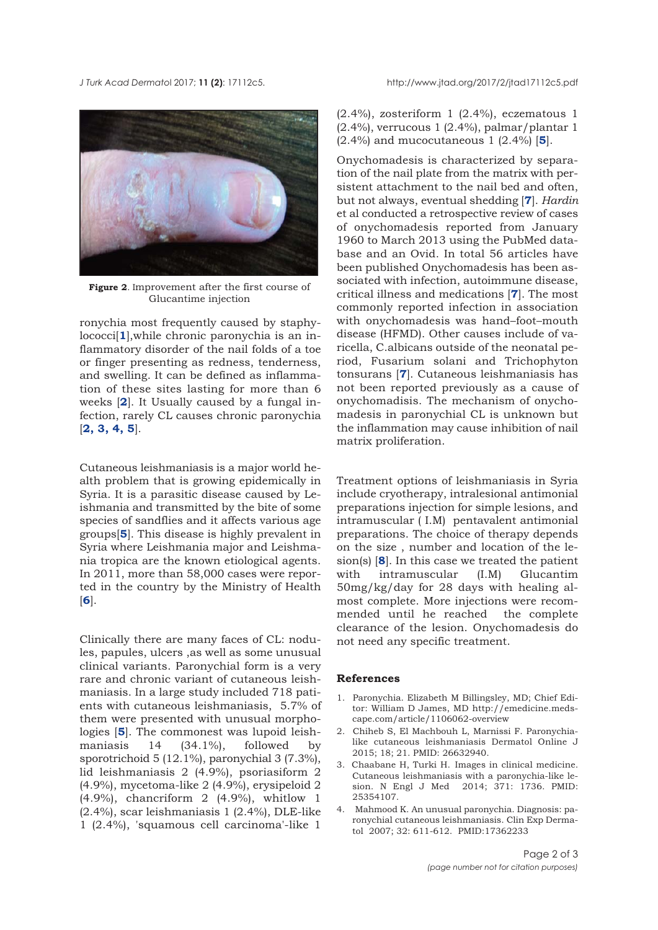<span id="page-1-0"></span>



**Figure 2**. Improvement after the first course of Glucantime injection

ronychia most frequently caused by staphylococci[**1**],while chronic paronychia is an inflammatory disorder of the nail folds of a toe or finger presenting as redness, tenderness, and swelling. It can be defined as inflammation of these sites lasting for more than 6 weeks [**2**]. It Usually caused by a fungal infection, rarely CL causes chronic paronychia [**2, 3, 4, [5](#page-2-0)**].

Cutaneous leishmaniasis is a major world health problem that is growing epidemically in Syria. It is a parasitic disease caused by Leishmania and transmitted by the bite of some species of sandflies and it affects various age groups[**[5](#page-2-0)**]. This disease is highly prevalent in Syria where Leishmania major and Leishmania tropica are the known etiological agents. In 2011, more than 58,000 cases were reported in the country by the Ministry of Health [**[6](#page-2-0)**].

Clinically there are many faces of CL: nodules, papules, ulcers ,as well as some unusual clinical variants. Paronychial form is a very rare and chronic variant of cutaneous leishmaniasis. In a large study included 718 patients with cutaneous leishmaniasis, 5.7% of them were presented with unusual morphologies [**[5](#page-2-0)**]. The commonest was lupoid leishmaniasis 14 (34.1%), followed by sporotrichoid 5 (12.1%), paronychial 3 (7.3%), lid leishmaniasis 2 (4.9%), psoriasiform 2 (4.9%), mycetoma-like 2 (4.9%), erysipeloid 2 (4.9%), chancriform 2 (4.9%), whitlow 1 (2.4%), scar leishmaniasis 1 (2.4%), DLE-like 1 (2.4%), 'squamous cell carcinoma'-like 1

(2.4%), zosteriform 1 (2.4%), eczematous 1 (2.4%), verrucous 1 (2.4%), palmar/plantar 1 (2.4%) and mucocutaneous 1 (2.4%) [**[5](#page-2-0)**].

Onychomadesis is characterized by separation of the nail plate from the matrix with persistent attachment to the nail bed and often, but not always, eventual shedding [**[7](#page-2-0)**]. *Hardin* et al conducted a retrospective review of cases of onychomadesis reported from January 1960 to March 2013 using the PubMed database and an Ovid. In total 56 articles have been published Onychomadesis has been associated with infection, autoimmune disease, critical illness and medications [**[7](#page-2-0)**]. The most commonly reported infection in association with onychomadesis was hand–foot–mouth disease (HFMD). Other causes include of varicella, C.albicans outside of the neonatal period, Fusarium solani and Trichophyton tonsurans [**[7](#page-2-0)**]. Cutaneous leishmaniasis has not been reported previously as a cause of onychomadisis. The mechanism of onychomadesis in paronychial CL is unknown but the inflammation may cause inhibition of nail matrix proliferation.

Treatment options of leishmaniasis in Syria include cryotherapy, intralesional antimonial preparations injection for simple lesions, and intramuscular ( I.M) pentavalent antimonial preparations. The choice of therapy depends on the size , number and location of the lesion(s) [**[8](#page-2-0)**]. In this case we treated the patient with intramuscular (I.M) Glucantim 50mg/kg/day for 28 days with healing almost complete. More injections were recommended until he reached the complete clearance of the lesion. Onychomadesis do not need any specific treatment.

#### **References**

- 1. Paronychia. Elizabeth M Billingsley, MD; Chief Editor: William D James, MD http://emedicine.medscape.com/article/1106062-overview
- 2. Chiheb S, El Machbouh L, Marnissi F. Paronychialike cutaneous leishmaniasis Dermatol Online J 2015; 18; 21. PMID: 26632940.
- 3. Chaabane H, Turki H. Images in clinical medicine. Cutaneous leishmaniasis with a paronychia-like lesion. N Engl J Med 2014; 371: 1736. PMID: 25354107.
- 4. Mahmood K. An unusual paronychia. Diagnosis: paronychial cutaneous leishmaniasis. Clin Exp Dermatol 2007; 32: 611-612. PMID:17362233